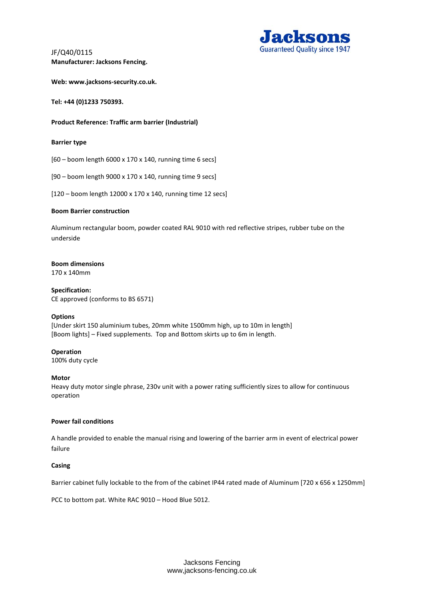JF/Q40/0115 **Manufacturer: Jacksons Fencing.** 



**Web: www.jacksons-security.co.uk.** 

**Tel: +44 (0)1233 750393.** 

# **Product Reference: Traffic arm barrier (Industrial)**

#### **Barrier type**

[60 – boom length 6000 x 170 x 140, running time 6 secs]

[90 – boom length 9000 x 170 x 140, running time 9 secs]

[120 – boom length 12000 x 170 x 140, running time 12 secs]

# **Boom Barrier construction**

Aluminum rectangular boom, powder coated RAL 9010 with red reflective stripes, rubber tube on the underside

# **Boom dimensions**

170 x 140mm

**Specification:** CE approved (conforms to BS 6571)

#### **Options**

[Under skirt 150 aluminium tubes, 20mm white 1500mm high, up to 10m in length] [Boom lights] – Fixed supplements. Top and Bottom skirts up to 6m in length.

#### **Operation**

100% duty cycle

#### **Motor**

Heavy duty motor single phrase, 230v unit with a power rating sufficiently sizes to allow for continuous operation

#### **Power fail conditions**

A handle provided to enable the manual rising and lowering of the barrier arm in event of electrical power failure

#### **Casing**

Barrier cabinet fully lockable to the from of the cabinet IP44 rated made of Aluminum [720 x 656 x 1250mm]

PCC to bottom pat. White RAC 9010 – Hood Blue 5012.